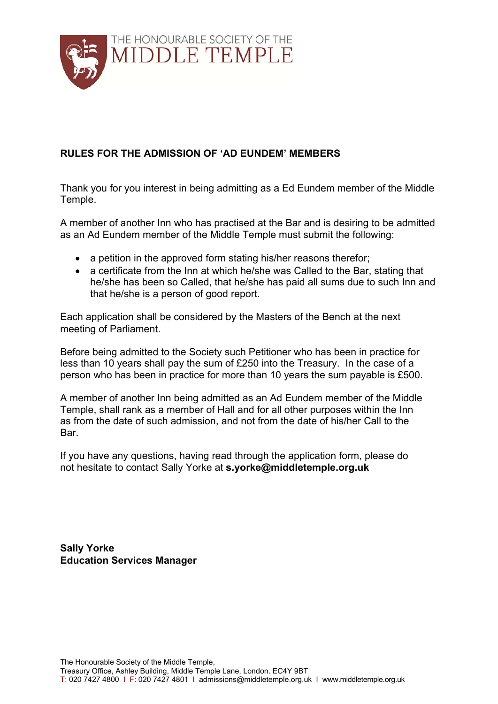

# **RULES FOR THE ADMISSION OF 'AD EUNDEM' MEMBERS**

Thank you for you interest in being admitting as a Ed Eundem member of the Middle Temple.

A member of another Inn who has practised at the Bar and is desiring to be admitted as an Ad Eundem member of the Middle Temple must submit the following:

- a petition in the approved form stating his/her reasons therefor;
- a certificate from the Inn at which he/she was Called to the Bar, stating that he/she has been so Called, that he/she has paid all sums due to such Inn and that he/she is a person of good report.

Each application shall be considered by the Masters of the Bench at the next meeting of Parliament.

Before being admitted to the Society such Petitioner who has been in practice for less than 10 years shall pay the sum of £250 into the Treasury. In the case of a person who has been in practice for more than 10 years the sum payable is £500.

A member of another Inn being admitted as an Ad Eundem member of the Middle Temple, shall rank as a member of Hall and for all other purposes within the Inn as from the date of such admission, and not from the date of his/her Call to the Bar.

If you have any questions, having read through the application form, please do not hesitate to contact Sally Yorke at **s.yorke@middletemple.org.uk**

**Sally Yorke Education Services Manager**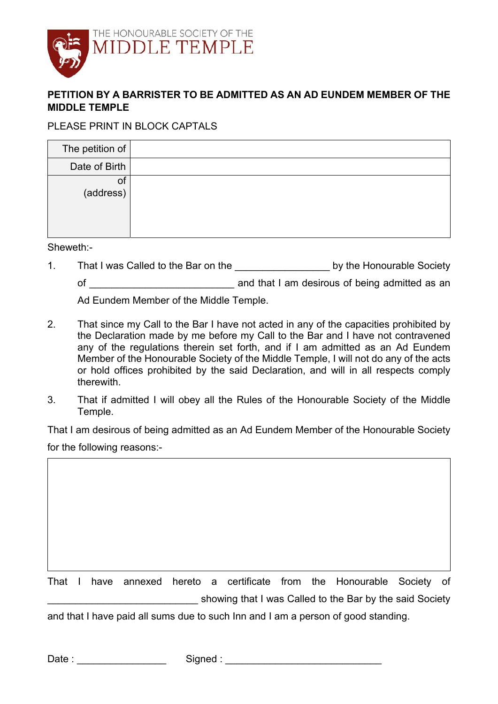

## **PETITION BY A BARRISTER TO BE ADMITTED AS AN AD EUNDEM MEMBER OF THE MIDDLE TEMPLE**

## PLEASE PRINT IN BLOCK CAPTALS

| The petition of |  |
|-----------------|--|
| Date of Birth   |  |
| οf<br>(address) |  |

Sheweth:-

1. That I was Called to the Bar on the **constant of the Honourable Society** 

of **of and that I am desirous of being admitted as an** 

Ad Eundem Member of the Middle Temple.

- 2. That since my Call to the Bar I have not acted in any of the capacities prohibited by the Declaration made by me before my Call to the Bar and I have not contravened any of the regulations therein set forth, and if I am admitted as an Ad Eundem Member of the Honourable Society of the Middle Temple, I will not do any of the acts or hold offices prohibited by the said Declaration, and will in all respects comply therewith.
- 3. That if admitted I will obey all the Rules of the Honourable Society of the Middle Temple.

That I am desirous of being admitted as an Ad Eundem Member of the Honourable Society for the following reasons:-

That I have annexed hereto a certificate from the Honourable Society of showing that I was Called to the Bar by the said Society

and that I have paid all sums due to such Inn and I am a person of good standing.

Date : \_\_\_\_\_\_\_\_\_\_\_\_\_\_\_\_ Signed : \_\_\_\_\_\_\_\_\_\_\_\_\_\_\_\_\_\_\_\_\_\_\_\_\_\_\_\_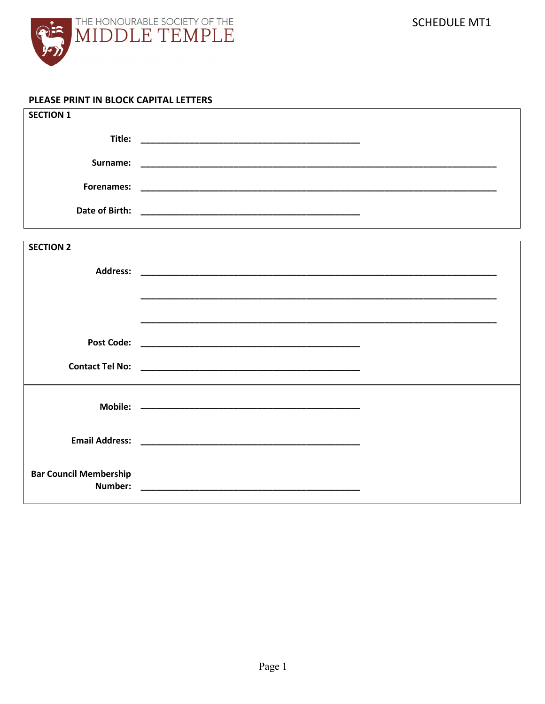

## PLEASE PRINT IN BLOCK CAPITAL LETTERS

| <b>SECTION 1</b>              |                                                                                                                                                                                                                                |  |
|-------------------------------|--------------------------------------------------------------------------------------------------------------------------------------------------------------------------------------------------------------------------------|--|
|                               |                                                                                                                                                                                                                                |  |
| Surname:                      |                                                                                                                                                                                                                                |  |
|                               |                                                                                                                                                                                                                                |  |
|                               |                                                                                                                                                                                                                                |  |
|                               |                                                                                                                                                                                                                                |  |
| <b>SECTION 2</b>              |                                                                                                                                                                                                                                |  |
|                               | Address: Address: Address: Address: Address: Address: Address: Address: Address: Address: Address: Address: Address: Address: Address: Address: Address: Address: Address: Address: Address: Address: Address: Address: Addres |  |
|                               |                                                                                                                                                                                                                                |  |
|                               |                                                                                                                                                                                                                                |  |
|                               |                                                                                                                                                                                                                                |  |
|                               |                                                                                                                                                                                                                                |  |
|                               |                                                                                                                                                                                                                                |  |
|                               |                                                                                                                                                                                                                                |  |
|                               |                                                                                                                                                                                                                                |  |
|                               |                                                                                                                                                                                                                                |  |
|                               |                                                                                                                                                                                                                                |  |
|                               |                                                                                                                                                                                                                                |  |
| <b>Bar Council Membership</b> |                                                                                                                                                                                                                                |  |
| Number:                       |                                                                                                                                                                                                                                |  |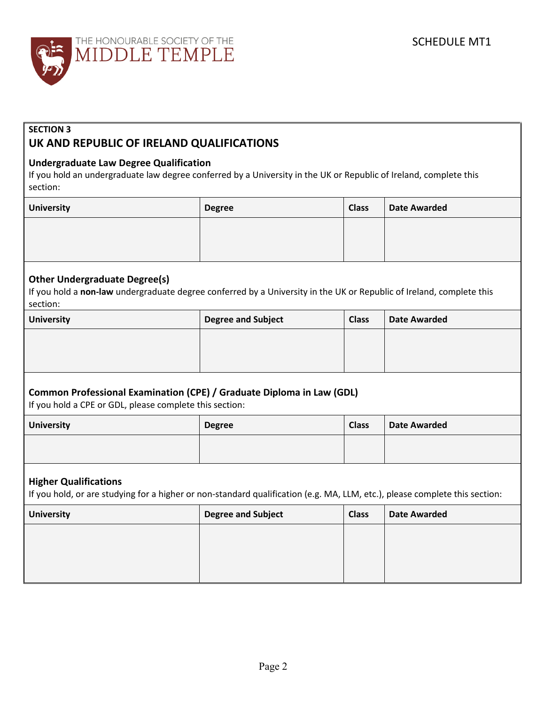

### **SECTION 3 UK AND REPUBLIC OF IRELAND QUALIFICATIONS**

#### **Undergraduate Law Degree Qualification**

If you hold an undergraduate law degree conferred by a University in the UK or Republic of Ireland, complete this section:

| <b>University</b> | <b>Degree</b> | <b>Class</b> | <b>Date Awarded</b> |
|-------------------|---------------|--------------|---------------------|
|                   |               |              |                     |
|                   |               |              |                     |

#### **Other Undergraduate Degree(s)**

If you hold a **non-law** undergraduate degree conferred by a University in the UK or Republic of Ireland, complete this section:

| <b>University</b> | <b>Degree and Subject</b> | <b>Class</b> | <b>Date Awarded</b> |
|-------------------|---------------------------|--------------|---------------------|
|                   |                           |              |                     |
|                   |                           |              |                     |
|                   |                           |              |                     |

#### **Common Professional Examination (CPE) / Graduate Diploma in Law (GDL)**

If you hold a CPE or GDL, please complete this section:

| <b>University</b> | <b>Degree</b> | <b>Class</b> | <b>Date Awarded</b> |
|-------------------|---------------|--------------|---------------------|
|                   |               |              |                     |

#### **Higher Qualifications**

If you hold, or are studying for a higher or non-standard qualification (e.g. MA, LLM, etc.), please complete this section:

| <b>University</b> | <b>Degree and Subject</b> | <b>Class</b> | <b>Date Awarded</b> |
|-------------------|---------------------------|--------------|---------------------|
|                   |                           |              |                     |
|                   |                           |              |                     |
|                   |                           |              |                     |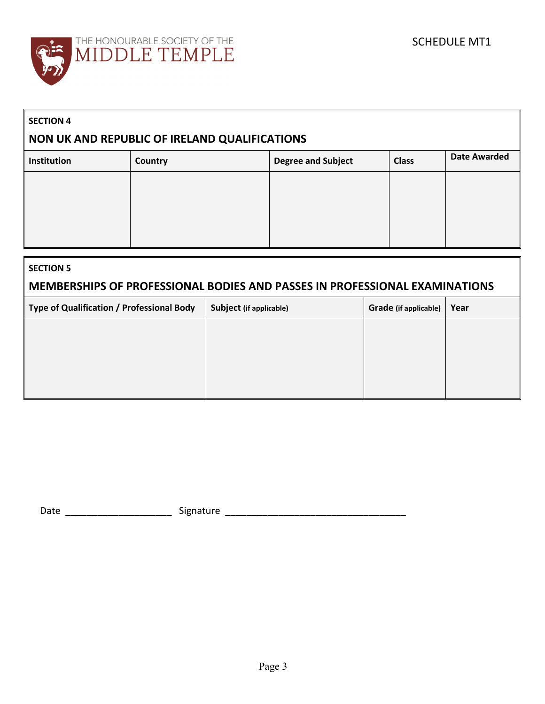

| <b>SECTION 4</b>   |                                               |                           |              |                     |  |  |  |  |  |
|--------------------|-----------------------------------------------|---------------------------|--------------|---------------------|--|--|--|--|--|
|                    | NON UK AND REPUBLIC OF IRELAND QUALIFICATIONS |                           |              |                     |  |  |  |  |  |
| <b>Institution</b> | Country                                       | <b>Degree and Subject</b> | <b>Class</b> | <b>Date Awarded</b> |  |  |  |  |  |
|                    |                                               |                           |              |                     |  |  |  |  |  |
|                    |                                               |                           |              |                     |  |  |  |  |  |
|                    |                                               |                           |              |                     |  |  |  |  |  |
|                    |                                               |                           |              |                     |  |  |  |  |  |

| <b>SECTION 5</b>                                                                                             |  |  |  |  |  |  |  |
|--------------------------------------------------------------------------------------------------------------|--|--|--|--|--|--|--|
| MEMBERSHIPS OF PROFESSIONAL BODIES AND PASSES IN PROFESSIONAL EXAMINATIONS                                   |  |  |  |  |  |  |  |
| Type of Qualification / Professional Body<br><b>Grade</b> (if applicable)<br>Subject (if applicable)<br>Year |  |  |  |  |  |  |  |
|                                                                                                              |  |  |  |  |  |  |  |
|                                                                                                              |  |  |  |  |  |  |  |
|                                                                                                              |  |  |  |  |  |  |  |
|                                                                                                              |  |  |  |  |  |  |  |

Date **\_\_\_\_\_\_\_\_\_\_\_\_\_\_\_\_\_\_\_\_** Signature **\_\_\_\_\_\_\_\_\_\_\_\_\_\_\_\_\_\_\_\_\_\_\_\_\_\_\_\_\_\_\_\_\_\_**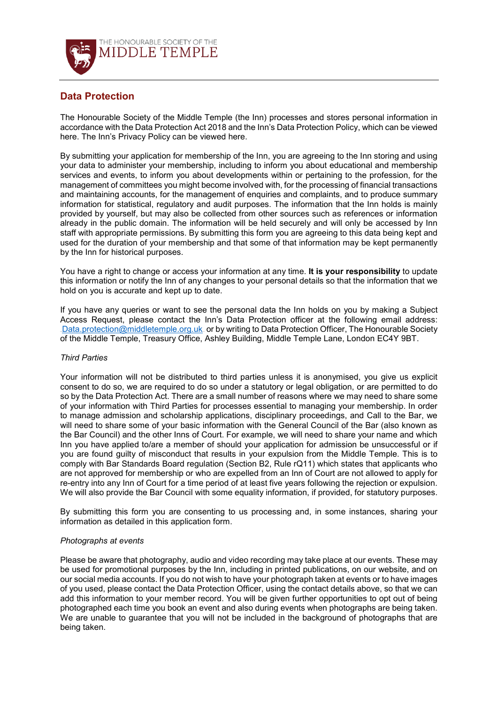

## **Data Protection**

The Honourable Society of the Middle Temple (the Inn) processes and stores personal information in accordance with the Data Protection Act 2018 and the Inn's Data Protection Policy, which can be viewed here. The Inn's Privacy Policy can be viewed here.

By submitting your application for membership of the Inn, you are agreeing to the Inn storing and using your data to administer your membership, including to inform you about educational and membership services and events, to inform you about developments within or pertaining to the profession, for the management of committees you might become involved with, for the processing of financial transactions and maintaining accounts, for the management of enquiries and complaints, and to produce summary information for statistical, regulatory and audit purposes. The information that the Inn holds is mainly provided by yourself, but may also be collected from other sources such as references or information already in the public domain. The information will be held securely and will only be accessed by Inn staff with appropriate permissions. By submitting this form you are agreeing to this data being kept and used for the duration of your membership and that some of that information may be kept permanently by the Inn for historical purposes.

You have a right to change or access your information at any time. **It is your responsibility** to update this information or notify the Inn of any changes to your personal details so that the information that we hold on you is accurate and kept up to date.

If you have any queries or want to see the personal data the Inn holds on you by making a Subject Access Request, please contact the Inn's Data Protection officer at the following email address: [Data.protection@middletemple.org.uk](mailto:Data.protection@middletemple.org.uk) or by writing to Data Protection Officer, The Honourable Society of the Middle Temple, Treasury Office, Ashley Building, Middle Temple Lane, London EC4Y 9BT.

#### *Third Parties*

Your information will not be distributed to third parties unless it is anonymised, you give us explicit consent to do so, we are required to do so under a statutory or legal obligation, or are permitted to do so by the Data Protection Act. There are a small number of reasons where we may need to share some of your information with Third Parties for processes essential to managing your membership. In order to manage admission and scholarship applications, disciplinary proceedings, and Call to the Bar, we will need to share some of your basic information with the General Council of the Bar (also known as the Bar Council) and the other Inns of Court. For example, we will need to share your name and which Inn you have applied to/are a member of should your application for admission be unsuccessful or if you are found guilty of misconduct that results in your expulsion from the Middle Temple. This is to comply with Bar Standards Board regulation (Section B2, Rule rQ11) which states that applicants who are not approved for membership or who are expelled from an Inn of Court are not allowed to apply for re-entry into any Inn of Court for a time period of at least five years following the rejection or expulsion. We will also provide the Bar Council with some equality information, if provided, for statutory purposes.

By submitting this form you are consenting to us processing and, in some instances, sharing your information as detailed in this application form.

#### *Photographs at events*

Please be aware that photography, audio and video recording may take place at our events. These may be used for promotional purposes by the Inn, including in printed publications, on our website, and on our social media accounts. If you do not wish to have your photograph taken at events or to have images of you used, please contact the Data Protection Officer, using the contact details above, so that we can add this information to your member record. You will be given further opportunities to opt out of being photographed each time you book an event and also during events when photographs are being taken. We are unable to guarantee that you will not be included in the background of photographs that are being taken.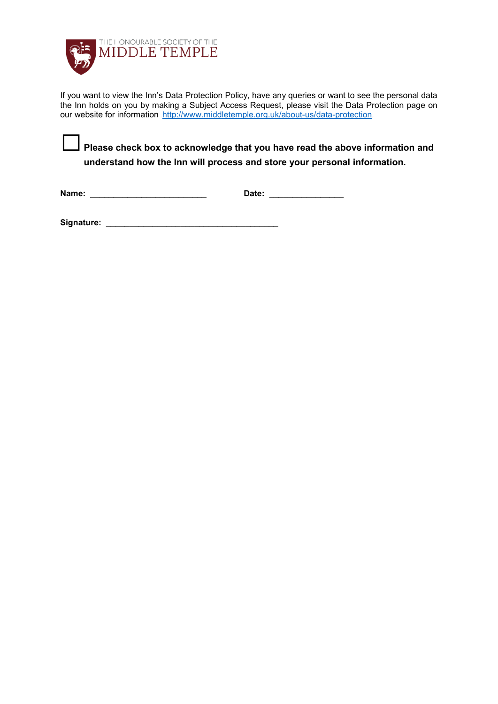

If you want to view the Inn's Data Protection Policy, have any queries or want to see the personal data the Inn holds on you by making a Subject Access Request, please visit the Data Protection page on our website for information .<http://www.middletemple.org.uk/about-us/data-protection>.

☐**Please check box to acknowledge that you have read the above information and understand how the Inn will process and store your personal information.**

**Name:** \_\_\_\_\_\_\_\_\_\_\_\_\_\_\_\_\_\_\_\_\_\_\_\_\_ **Date:** \_\_\_\_\_\_\_\_\_\_\_\_\_\_\_\_

**Signature:** \_\_\_\_\_\_\_\_\_\_\_\_\_\_\_\_\_\_\_\_\_\_\_\_\_\_\_\_\_\_\_\_\_\_\_\_\_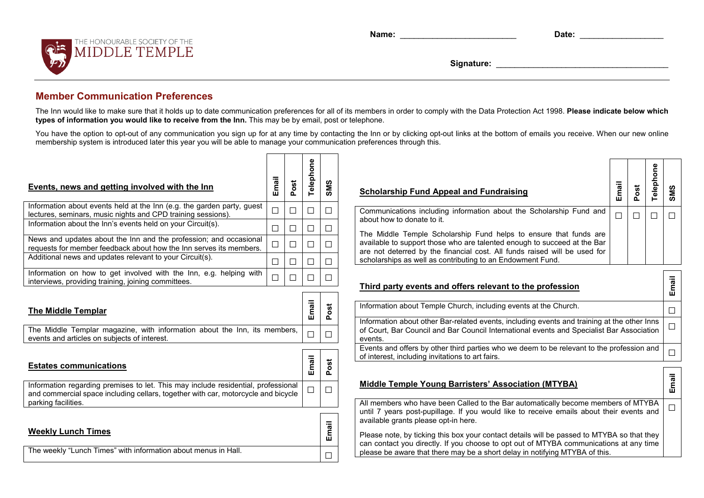

**Name: Date: Date: CONS** 

**Signature:** \_\_\_\_\_\_\_\_\_\_\_\_\_\_\_\_\_\_\_\_\_\_\_\_\_\_\_\_\_\_\_\_\_\_\_\_\_

### **Member Communication Preferences**

The Inn would like to make sure that it holds up to date communication preferences for all of its members in order to comply with the Data Protection Act 1998. **Please indicate below which types of information you would like to receive from the Inn.** This may be by email, post or telephone.

You have the option to opt-out of any communication you sign up for at any time by contacting the Inn or by clicking opt-out links at the bottom of emails you receive. When our new online membership system is introduced later this year you will be able to manage your communication preferences through this.

| Events, news and getting involved with the Inn                                                                                                                                                      | Email  | Post   | Telephone | SMS                                                                                                                                                                                  | Email<br>Post<br><b>Scholarship Fund Appeal and Fundraising</b>                                                                                                                                                            | Telephone<br>SMS |  |
|-----------------------------------------------------------------------------------------------------------------------------------------------------------------------------------------------------|--------|--------|-----------|--------------------------------------------------------------------------------------------------------------------------------------------------------------------------------------|----------------------------------------------------------------------------------------------------------------------------------------------------------------------------------------------------------------------------|------------------|--|
| Information about events held at the Inn (e.g. the garden party, guest<br>lectures, seminars, music nights and CPD training sessions).                                                              | $\Box$ | $\Box$ | □         | □                                                                                                                                                                                    | Communications including information about the Scholarship Fund and<br>$\Box$<br>$\Box$<br>$\Box$                                                                                                                          | ப                |  |
| Information about the Inn's events held on your Circuit(s).                                                                                                                                         | $\Box$ | □      | □         | □                                                                                                                                                                                    | about how to donate to it.                                                                                                                                                                                                 |                  |  |
| News and updates about the Inn and the profession; and occasional<br>requests for member feedback about how the Inn serves its members.<br>Additional news and updates relevant to your Circuit(s). |        | $\Box$ | П         | П                                                                                                                                                                                    | The Middle Temple Scholarship Fund helps to ensure that funds are<br>available to support those who are talented enough to succeed at the Bar<br>are not deterred by the financial cost. All funds raised will be used for |                  |  |
|                                                                                                                                                                                                     | $\Box$ | $\Box$ | □         | $\Box$                                                                                                                                                                               | scholarships as well as contributing to an Endowment Fund.                                                                                                                                                                 |                  |  |
| Information on how to get involved with the Inn, e.g. helping with<br>interviews, providing training, joining committees.                                                                           | $\Box$ | $\Box$ | П         | $\Box$                                                                                                                                                                               | Third party events and offers relevant to the profession                                                                                                                                                                   | Email            |  |
|                                                                                                                                                                                                     |        |        | Email     | 5                                                                                                                                                                                    | Information about Temple Church, including events at the Church.                                                                                                                                                           |                  |  |
| <b>The Middle Templar</b>                                                                                                                                                                           |        |        |           | å                                                                                                                                                                                    |                                                                                                                                                                                                                            | ⊔                |  |
| The Middle Templar magazine, with information about the Inn, its members,<br>events and articles on subjects of interest.                                                                           |        |        | П         | $\Box$                                                                                                                                                                               | Information about other Bar-related events, including events and training at the other Inns<br>of Court, Bar Council and Bar Council International events and Specialist Bar Association<br>events.                        |                  |  |
|                                                                                                                                                                                                     |        |        |           |                                                                                                                                                                                      | Events and offers by other third parties who we deem to be relevant to the profession and<br>of interest, including invitations to art fairs.                                                                              |                  |  |
| <b>Estates communications</b>                                                                                                                                                                       |        |        | Email     | ost<br>൨                                                                                                                                                                             |                                                                                                                                                                                                                            |                  |  |
| Information regarding premises to let. This may include residential, professional<br>and commercial space including cellars, together with car, motorcycle and bicycle                              |        |        |           | $\Box$                                                                                                                                                                               | <b>Middle Temple Young Barristers' Association (MTYBA)</b>                                                                                                                                                                 | Email            |  |
| parking facilities.                                                                                                                                                                                 |        |        |           |                                                                                                                                                                                      | All members who have been Called to the Bar automatically become members of MTYBA<br>until 7 years post-pupillage. If you would like to receive emails about their events and<br>available grants please opt-in here.      |                  |  |
| <b>Weekly Lunch Times</b>                                                                                                                                                                           |        |        | Email     | Please note, by ticking this box your contact details will be passed to MTYBA so that they<br>can contact you directly. If you choose to opt out of MTYBA communications at any time |                                                                                                                                                                                                                            |                  |  |
| The weekly "Lunch Times" with information about menus in Hall.                                                                                                                                      |        |        |           | $\Box$                                                                                                                                                                               | please be aware that there may be a short delay in notifying MTYBA of this.                                                                                                                                                |                  |  |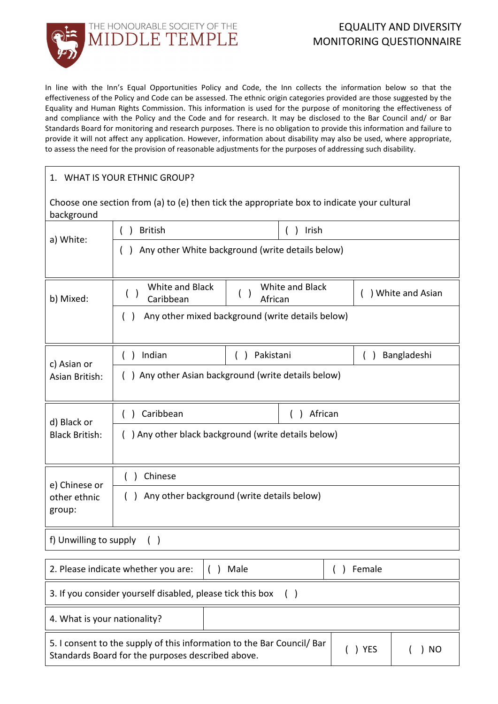

In line with the Inn's Equal Opportunities Policy and Code, the Inn collects the information below so that the effectiveness of the Policy and Code can be assessed. The ethnic origin categories provided are those suggested by the Equality and Human Rights Commission. This information is used for the purpose of monitoring the effectiveness of and compliance with the Policy and the Code and for research. It may be disclosed to the Bar Council and/ or Bar Standards Board for monitoring and research purposes. There is no obligation to provide this information and failure to provide it will not affect any application. However, information about disability may also be used, where appropriate, to assess the need for the provision of reasonable adjustments for the purposes of addressing such disability.

## 1. WHAT IS YOUR ETHNIC GROUP?

| background             | Choose one section from (a) to (e) then tick the appropriate box to indicate your cultural |                    |         |                                   |  |  |
|------------------------|--------------------------------------------------------------------------------------------|--------------------|---------|-----------------------------------|--|--|
| a) White:              | <b>British</b>                                                                             |                    | Irish   |                                   |  |  |
|                        | Any other White background (write details below)                                           |                    |         |                                   |  |  |
| b) Mixed:              | White and Black<br>Caribbean                                                               | () White and Asian |         |                                   |  |  |
|                        | Any other mixed background (write details below)<br>(                                      |                    |         |                                   |  |  |
| c) Asian or            | Indian                                                                                     | Pakistani          |         | Bangladeshi<br>$\rightarrow$<br>( |  |  |
| Asian British:         | ) Any other Asian background (write details below)                                         |                    |         |                                   |  |  |
| d) Black or            | Caribbean                                                                                  |                    | African |                                   |  |  |
| <b>Black British:</b>  | () Any other black background (write details below)                                        |                    |         |                                   |  |  |
| e) Chinese or          | Chinese<br>$\overline{ }$                                                                  |                    |         |                                   |  |  |
| other ethnic<br>group: | Any other background (write details below)                                                 |                    |         |                                   |  |  |
| f) Unwilling to supply |                                                                                            |                    |         |                                   |  |  |

| 2. Please indicate whether you are:                                                                                         | Male       | Female |  |  |  |
|-----------------------------------------------------------------------------------------------------------------------------|------------|--------|--|--|--|
| 3. If you consider yourself disabled, please tick this box                                                                  |            |        |  |  |  |
| 4. What is your nationality?                                                                                                |            |        |  |  |  |
| 5. I consent to the supply of this information to the Bar Council/ Bar<br>Standards Board for the purposes described above. | <b>YES</b> | -NO    |  |  |  |